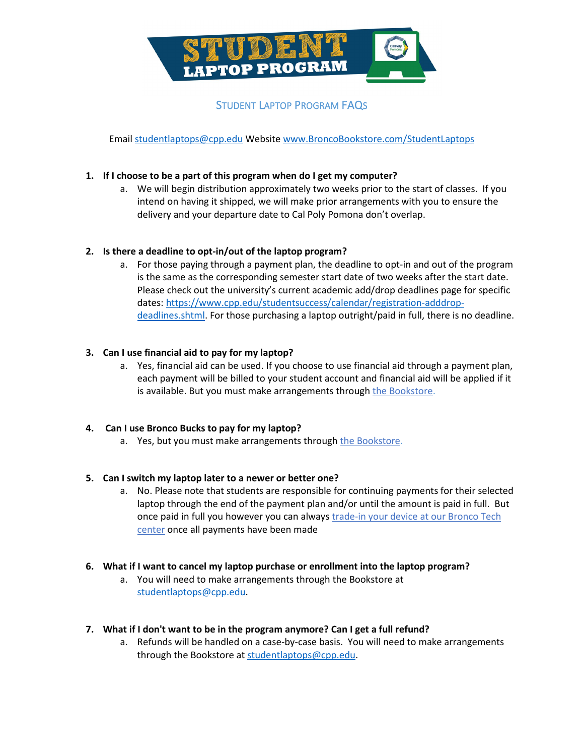

Email [studentlaptops@cpp.edu](mailto:studentlaptops@cpp.edu) Website [www.BroncoBookstore.com/StudentLaptops](http://www.broncobookstore.com/StudentLaptops)

## **1. If I choose to be a part of this program when do I get my computer?**

a. We will begin distribution approximately two weeks prior to the start of classes. If you intend on having it shipped, we will make prior arrangements with you to ensure the delivery and your departure date to Cal Poly Pomona don't overlap.

## **2. Is there a deadline to opt-in/out of the laptop program?**

a. For those paying through a payment plan, the deadline to opt-in and out of the program is the same as the corresponding semester start date of two weeks after the start date. Please check out the university's current academic add/drop deadlines page for specific dates: [https://www.cpp.edu/studentsuccess/calendar/registration-adddrop](https://www.cpp.edu/studentsuccess/calendar/registration-adddrop-deadlines.shtml)[deadlines.shtml.](https://www.cpp.edu/studentsuccess/calendar/registration-adddrop-deadlines.shtml) For those purchasing a laptop outright/paid in full, there is no deadline.

# **3. Can I use financial aid to pay for my laptop?**

a. Yes, financial aid can be used. If you choose to use financial aid through a payment plan, each payment will be billed to your student account and financial aid will be applied if it is available. But you must make arrangements throug[h the Bookstore.](https://www.broncobookstore.com/accounts.asp?)

## **4. Can I use Bronco Bucks to pay for my laptop?**

a. Yes, but you must make arrangements throug[h the Bookstore.](https://www.broncobookstore.com/accounts.asp?)

## **5. Can I switch my laptop later to a newer or better one?**

a. No. Please note that students are responsible for continuing payments for their selected laptop through the end of the payment plan and/or until the amount is paid in full. But once paid in full you however you can always [trade-in your device at our Bronco Tech](http://broncotech.tradeitin.net/new/Default.aspx)  [center](http://broncotech.tradeitin.net/new/Default.aspx) once all payments have been made

# **6. What if I want to cancel my laptop purchase or enrollment into the laptop program?**

a. You will need to make arrangements through the Bookstore at [studentlaptops@cpp.edu.](mailto:studentlaptops@cpp.edu)

## **7. What if I don't want to be in the program anymore? Can I get a full refund?**

a. Refunds will be handled on a case-by-case basis. You will need to make arrangements through the Bookstore a[t studentlaptops@cpp.edu.](mailto:studentlaptops@cpp.edu)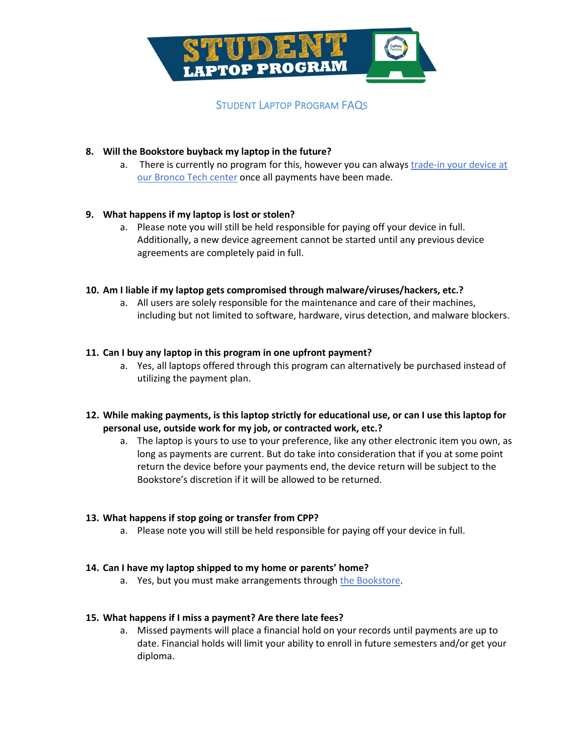

### **8. Will the Bookstore buyback my laptop in the future?**

a. There is currently no program for this, however you can always [trade-in your device](http://broncotech.tradeitin.net/new/Default.aspx) at [our Bronco Tech](http://broncotech.tradeitin.net/new/Default.aspx) center once all payments have been made.

### **9. What happens if my laptop is lost or stolen?**

a. Please note you will still be held responsible for paying off your device in full. Additionally, a new device agreement cannot be started until any previous device agreements are completely paid in full.

### **10. Am I liable if my laptop gets compromised through malware/viruses/hackers, etc.?**

a. All users are solely responsible for the maintenance and care of their machines, including but not limited to software, hardware, virus detection, and malware blockers.

### **11. Can I buy any laptop in this program in one upfront payment?**

- a. Yes, all laptops offered through this program can alternatively be purchased instead of utilizing the payment plan.
- **12. While making payments, is this laptop strictly for educational use, or can I use this laptop for personal use, outside work for my job, or contracted work, etc.?**
	- a. The laptop is yours to use to your preference, like any other electronic item you own, as long as payments are current. But do take into consideration that if you at some point return the device before your payments end, the device return will be subject to the Bookstore's discretion if it will be allowed to be returned.

#### **13. What happens if stop going or transfer from CPP?**

a. Please note you will still be held responsible for paying off your device in full.

#### **14. Can I have my laptop shipped to my home or parents' home?**

a. Yes, but you must make arrangements throug[h the Bookstore.](https://www.broncobookstore.com/accounts.asp?)

#### **15. What happens if I miss a payment? Are there late fees?**

a. Missed payments will place a financial hold on your records until payments are up to date. Financial holds will limit your ability to enroll in future semesters and/or get your diploma.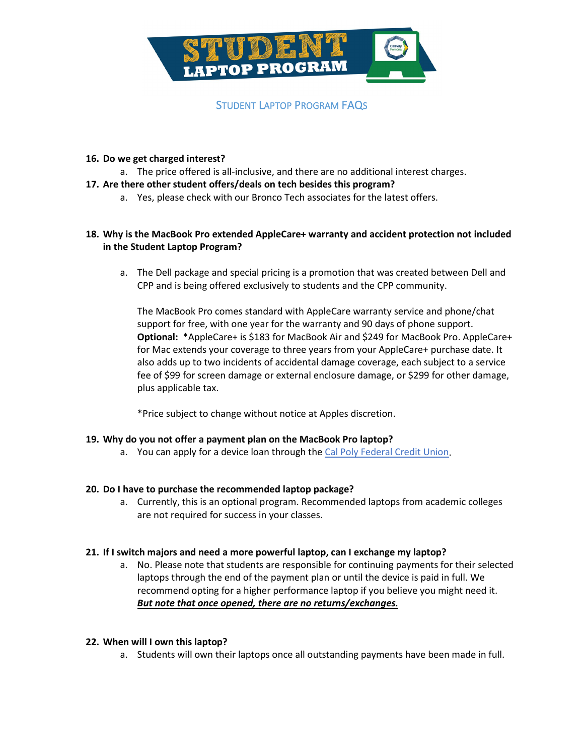

#### **16. Do we get charged interest?**

a. The price offered is all-inclusive, and there are no additional interest charges.

### **17. Are there other student offers/deals on tech besides this program?**

a. Yes, please check with our Bronco Tech associates for the latest offers.

## **18. Why is the MacBook Pro extended AppleCare+ warranty and accident protection not included in the Student Laptop Program?**

a. The Dell package and special pricing is a promotion that was created between Dell and CPP and is being offered exclusively to students and the CPP community.

The MacBook Pro comes standard with AppleCare warranty service and phone/chat support for free, with one year for the warranty and 90 days of phone support. **Optional:** \*AppleCare+ is \$183 for MacBook Air and \$249 for MacBook Pro. AppleCare+ for Mac extends your coverage to three years from your AppleCare+ purchase date. It also adds up to two incidents of accidental damage coverage, each subject to a service fee of \$99 for screen damage or external enclosure damage, or \$299 for other damage, plus applicable tax.

\*Price subject to change without notice at Apples discretion.

#### **19. Why do you not offer a payment plan on the MacBook Pro laptop?**

a. You can apply for a device loan through the [Cal Poly Federal Credit Union.](https://www.calpolyfcu.org/banner/update-your-device-loan-special/)

#### **20. Do I have to purchase the recommended laptop package?**

a. Currently, this is an optional program. Recommended laptops from academic colleges are not required for success in your classes.

#### **21. If I switch majors and need a more powerful laptop, can I exchange my laptop?**

a. No. Please note that students are responsible for continuing payments for their selected laptops through the end of the payment plan or until the device is paid in full. We recommend opting for a higher performance laptop if you believe you might need it. *But note that once opened, there are no returns/exchanges.*

#### **22. When will I own this laptop?**

a. Students will own their laptops once all outstanding payments have been made in full.